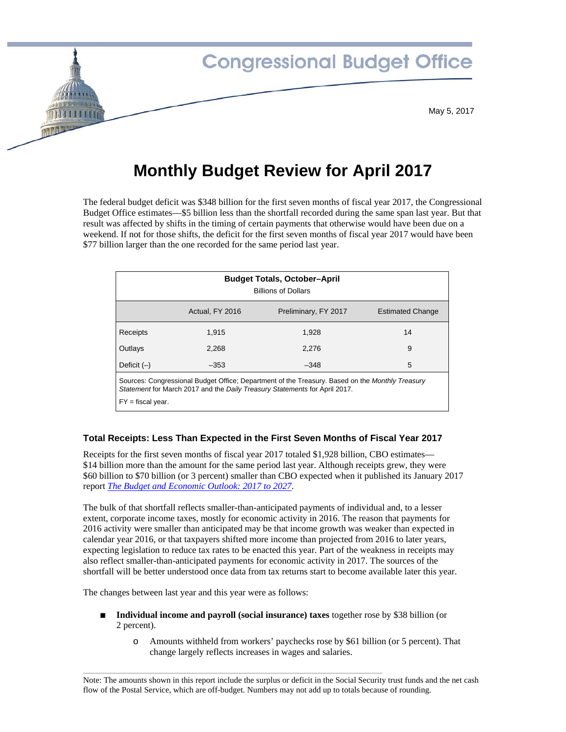

# **Monthly Budget Review for April 2017**

The federal budget deficit was \$348 billion for the first seven months of fiscal year 2017, the Congressional Budget Office estimates—\$5 billion less than the shortfall recorded during the same span last year. But that result was affected by shifts in the timing of certain payments that otherwise would have been due on a weekend. If not for those shifts, the deficit for the first seven months of fiscal year 2017 would have been \$77 billion larger than the one recorded for the same period last year.

| <b>Budget Totals, October-April</b><br><b>Billions of Dollars</b>                                                                                                             |                 |                      |                         |  |  |
|-------------------------------------------------------------------------------------------------------------------------------------------------------------------------------|-----------------|----------------------|-------------------------|--|--|
|                                                                                                                                                                               | Actual, FY 2016 | Preliminary, FY 2017 | <b>Estimated Change</b> |  |  |
| Receipts                                                                                                                                                                      | 1.915           | 1.928                | 14                      |  |  |
| Outlays                                                                                                                                                                       | 2.268           | 2.276                | 9                       |  |  |
| Deficit $(-)$                                                                                                                                                                 | $-353$          | $-348$               | 5                       |  |  |
| Sources: Congressional Budget Office: Department of the Treasury. Based on the Monthly Treasury<br>Statement for March 2017 and the Daily Treasury Statements for April 2017. |                 |                      |                         |  |  |
| $FY =$ fiscal year.                                                                                                                                                           |                 |                      |                         |  |  |

Receipts for the first seven months of fiscal year 2017 totaled \$1,928 billion, CBO estimates— \$14 billion more than the amount for the same period last year. Although receipts grew, they were \$60 billion to \$70 billion (or 3 percent) smaller than CBO expected when it published its January 2017 report *[The Budget and Economic Outlook: 2017 to 2027](https://www.cbo.gov/publication/52370)*.

**Total Receipts: Less Than Expected in the First Seven Months of Fiscal Year 2017**

The bulk of that shortfall reflects smaller-than-anticipated payments of individual and, to a lesser extent, corporate income taxes, mostly for economic activity in 2016. The reason that payments for 2016 activity were smaller than anticipated may be that income growth was weaker than expected in calendar year 2016, or that taxpayers shifted more income than projected from 2016 to later years, expecting legislation to reduce tax rates to be enacted this year. Part of the weakness in receipts may also reflect smaller-than-anticipated payments for economic activity in 2017. The sources of the shortfall will be better understood once data from tax returns start to become available later this year.

The changes between last year and this year were as follows:

- **Individual income and payroll (social insurance) taxes** together rose by \$38 billion (or 2 percent).
	- o Amounts withheld from workers' paychecks rose by \$61 billion (or 5 percent). That change largely reflects increases in wages and salaries.

Note: The amounts shown in this report include the surplus or deficit in the Social Security trust funds and the net cash flow of the Postal Service, which are off-budget. Numbers may not add up to totals because of rounding.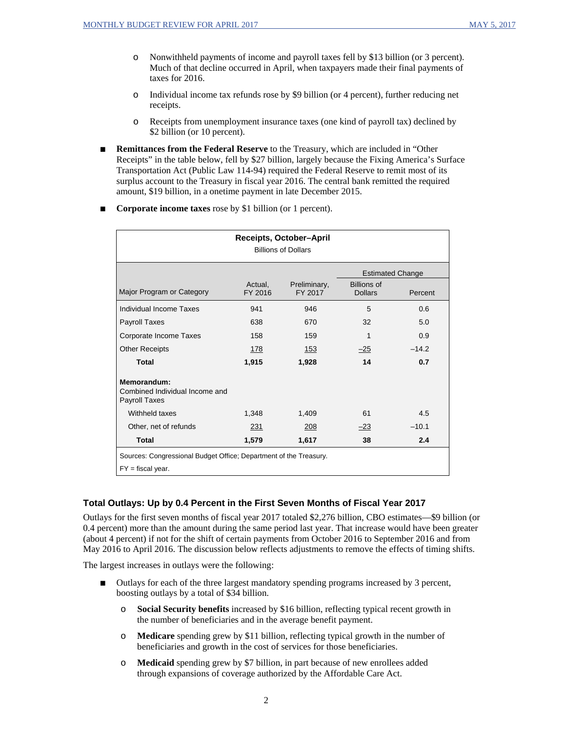- o Nonwithheld payments of income and payroll taxes fell by \$13 billion (or 3 percent). Much of that decline occurred in April, when taxpayers made their final payments of taxes for 2016.
- o Individual income tax refunds rose by \$9 billion (or 4 percent), further reducing net receipts.
- o Receipts from unemployment insurance taxes (one kind of payroll tax) declined by \$2 billion (or 10 percent).
- **Remittances from the Federal Reserve** to the Treasury, which are included in "Other Receipts" in the table below, fell by \$27 billion, largely because the Fixing America's Surface Transportation Act (Public Law 114-94) required the Federal Reserve to remit most of its surplus account to the Treasury in fiscal year 2016. The central bank remitted the required amount, \$19 billion, in a onetime payment in late December 2015.

| Receipts, October-April<br><b>Billions of Dollars</b>             |         |              |                                               |         |  |
|-------------------------------------------------------------------|---------|--------------|-----------------------------------------------|---------|--|
|                                                                   | Actual, | Preliminary, | <b>Estimated Change</b><br><b>Billions of</b> |         |  |
| Major Program or Category                                         | FY 2016 | FY 2017      | <b>Dollars</b>                                | Percent |  |
| Individual Income Taxes                                           | 941     | 946          | 5                                             | 0.6     |  |
| <b>Payroll Taxes</b>                                              | 638     | 670          | 32                                            | 5.0     |  |
| Corporate Income Taxes                                            | 158     | 159          | 1                                             | 0.9     |  |
| <b>Other Receipts</b>                                             | 178     | 153          | $-25$                                         | $-14.2$ |  |
| <b>Total</b>                                                      | 1,915   | 1,928        | 14                                            | 0.7     |  |
| Memorandum:<br>Combined Individual Income and<br>Payroll Taxes    |         |              |                                               |         |  |
| Withheld taxes                                                    | 1,348   | 1,409        | 61                                            | 4.5     |  |
| Other, net of refunds                                             | 231     | 208          | $-23$                                         | $-10.1$ |  |
| Total                                                             | 1,579   | 1,617        | 38                                            | 2.4     |  |
| Sources: Congressional Budget Office; Department of the Treasury. |         |              |                                               |         |  |
| $FY = fiscal year$ .                                              |         |              |                                               |         |  |

**Corporate income taxes** rose by \$1 billion (or 1 percent).

### **Total Outlays: Up by 0.4 Percent in the First Seven Months of Fiscal Year 2017**

Outlays for the first seven months of fiscal year 2017 totaled \$2,276 billion, CBO estimates—\$9 billion (or 0.4 percent) more than the amount during the same period last year. That increase would have been greater (about 4 percent) if not for the shift of certain payments from October 2016 to September 2016 and from May 2016 to April 2016. The discussion below reflects adjustments to remove the effects of timing shifts.

The largest increases in outlays were the following:

- Outlays for each of the three largest mandatory spending programs increased by 3 percent, boosting outlays by a total of \$34 billion.
	- o **Social Security benefits** increased by \$16 billion, reflecting typical recent growth in the number of beneficiaries and in the average benefit payment.
	- o **Medicare** spending grew by \$11 billion, reflecting typical growth in the number of beneficiaries and growth in the cost of services for those beneficiaries.
	- o **Medicaid** spending grew by \$7 billion, in part because of new enrollees added through expansions of coverage authorized by the Affordable Care Act.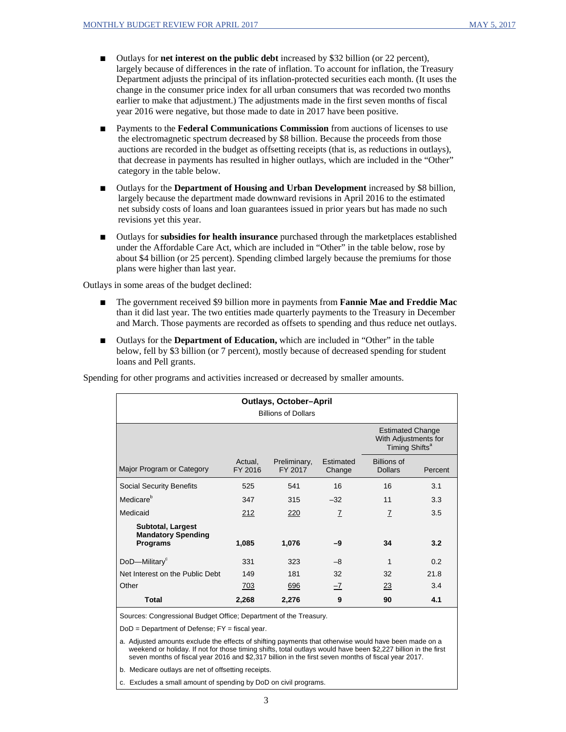- Outlays for **net interest on the public debt** increased by \$32 billion (or 22 percent), largely because of differences in the rate of inflation. To account for inflation, the Treasury Department adjusts the principal of its inflation-protected securities each month. (It uses the change in the consumer price index for all urban consumers that was recorded two months earlier to make that adjustment.) The adjustments made in the first seven months of fiscal year 2016 were negative, but those made to date in 2017 have been positive.
- Payments to the **Federal Communications Commission** from auctions of licenses to use the electromagnetic spectrum decreased by \$8 billion. Because the proceeds from those auctions are recorded in the budget as offsetting receipts (that is, as reductions in outlays), that decrease in payments has resulted in higher outlays, which are included in the "Other" category in the table below.
- Outlays for the **Department of Housing and Urban Development** increased by \$8 billion, largely because the department made downward revisions in April 2016 to the estimated net subsidy costs of loans and loan guarantees issued in prior years but has made no such revisions yet this year.
- Outlays for **subsidies for health insurance** purchased through the marketplaces established under the Affordable Care Act, which are included in "Other" in the table below, rose by about \$4 billion (or 25 percent). Spending climbed largely because the premiums for those plans were higher than last year.

Outlays in some areas of the budget declined:

- The government received \$9 billion more in payments from **Fannie Mae and Freddie Mac** than it did last year. The two entities made quarterly payments to the Treasury in December and March. Those payments are recorded as offsets to spending and thus reduce net outlays.
- Outlays for the **Department of Education**, which are included in "Other" in the table below, fell by \$3 billion (or 7 percent), mostly because of decreased spending for student loans and Pell grants.

| <b>Outlays, October-April</b><br><b>Billions of Dollars</b>       |                    |                         |                     |                                                                               |         |
|-------------------------------------------------------------------|--------------------|-------------------------|---------------------|-------------------------------------------------------------------------------|---------|
|                                                                   |                    |                         |                     | <b>Estimated Change</b><br>With Adjustments for<br>Timing Shifts <sup>a</sup> |         |
| Major Program or Category                                         | Actual,<br>FY 2016 | Preliminary,<br>FY 2017 | Estimated<br>Change | <b>Billions of</b><br><b>Dollars</b>                                          | Percent |
| <b>Social Security Benefits</b>                                   | 525                | 541                     | 16                  | 16                                                                            | 3.1     |
| Medicare <sup>b</sup>                                             | 347                | 315                     | $-32$               | 11                                                                            | 3.3     |
| Medicaid                                                          | 212                | 220                     | Z                   | $\overline{I}$                                                                | 3.5     |
| <b>Subtotal, Largest</b><br><b>Mandatory Spending</b><br>Programs | 1,085              | 1,076                   | -9                  | 34                                                                            | 3.2     |
| DoD-Military <sup>c</sup>                                         | 331                | 323                     | $-8$                | 1                                                                             | 0.2     |
| Net Interest on the Public Debt                                   | 149                | 181                     | 32                  | 32                                                                            | 21.8    |
| Other                                                             | 703                | 696                     | $-7$                | 23                                                                            | 3.4     |
| Total                                                             | 2,268              | 2,276                   | 9                   | 90                                                                            | 4.1     |

Spending for other programs and activities increased or decreased by smaller amounts.

Sources: Congressional Budget Office; Department of the Treasury.

DoD = Department of Defense; FY = fiscal year.

a. Adjusted amounts exclude the effects of shifting payments that otherwise would have been made on a weekend or holiday. If not for those timing shifts, total outlays would have been \$2,227 billion in the first seven months of fiscal year 2016 and \$2,317 billion in the first seven months of fiscal year 2017.

b. Medicare outlays are net of offsetting receipts.

c. Excludes a small amount of spending by DoD on civil programs.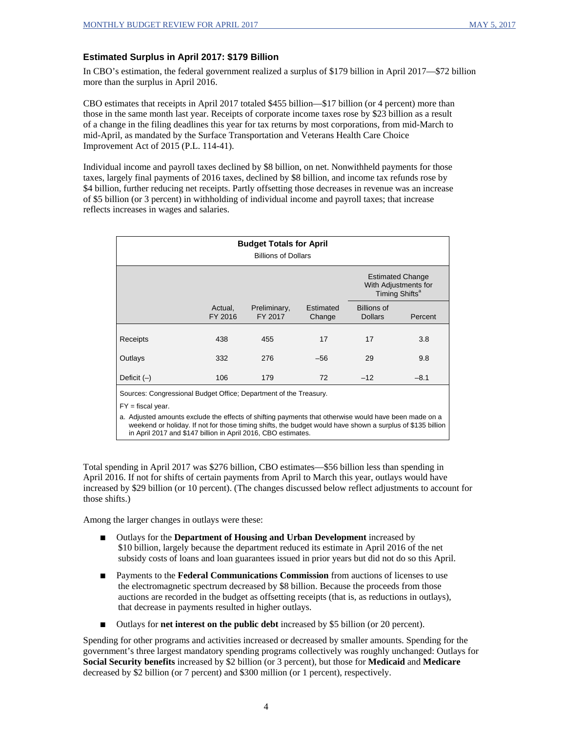### **Estimated Surplus in April 2017: \$179 Billion**

In CBO's estimation, the federal government realized a surplus of \$179 billion in April 2017—\$72 billion more than the surplus in April 2016.

CBO estimates that receipts in April 2017 totaled \$455 billion—\$17 billion (or 4 percent) more than those in the same month last year. Receipts of corporate income taxes rose by \$23 billion as a result of a change in the filing deadlines this year for tax returns by most corporations, from mid-March to mid-April, as mandated by the Surface Transportation and Veterans Health Care Choice Improvement Act of 2015 (P.L. 114-41).

Individual income and payroll taxes declined by \$8 billion, on net. Nonwithheld payments for those taxes, largely final payments of 2016 taxes, declined by \$8 billion, and income tax refunds rose by \$4 billion, further reducing net receipts. Partly offsetting those decreases in revenue was an increase of \$5 billion (or 3 percent) in withholding of individual income and payroll taxes; that increase reflects increases in wages and salaries.

| <b>Budget Totals for April</b><br><b>Billions of Dollars</b>                                                                                                                                                                                                                                                                                                                      |                    |                         |                     |                                                                               |         |
|-----------------------------------------------------------------------------------------------------------------------------------------------------------------------------------------------------------------------------------------------------------------------------------------------------------------------------------------------------------------------------------|--------------------|-------------------------|---------------------|-------------------------------------------------------------------------------|---------|
|                                                                                                                                                                                                                                                                                                                                                                                   |                    |                         |                     | <b>Estimated Change</b><br>With Adjustments for<br>Timing Shifts <sup>a</sup> |         |
|                                                                                                                                                                                                                                                                                                                                                                                   | Actual,<br>FY 2016 | Preliminary,<br>FY 2017 | Estimated<br>Change | <b>Billions of</b><br><b>Dollars</b>                                          | Percent |
| Receipts                                                                                                                                                                                                                                                                                                                                                                          | 438                | 455                     | 17                  | 17                                                                            | 3.8     |
| Outlays                                                                                                                                                                                                                                                                                                                                                                           | 332                | 276                     | $-56$               | 29                                                                            | 9.8     |
| Deficit $(-)$                                                                                                                                                                                                                                                                                                                                                                     | 106                | 179                     | 72                  | $-12$                                                                         | $-8.1$  |
| Sources: Congressional Budget Office; Department of the Treasury.<br>$FY = fiscal year$ .<br>a. Adjusted amounts exclude the effects of shifting payments that otherwise would have been made on a<br>weekend or holiday. If not for those timing shifts, the budget would have shown a surplus of \$135 billion<br>in April 2017 and \$147 billion in April 2016, CBO estimates. |                    |                         |                     |                                                                               |         |

Total spending in April 2017 was \$276 billion, CBO estimates—\$56 billion less than spending in April 2016. If not for shifts of certain payments from April to March this year, outlays would have increased by \$29 billion (or 10 percent). (The changes discussed below reflect adjustments to account for those shifts.)

Among the larger changes in outlays were these:

- Outlays for the **Department of Housing and Urban Development** increased by \$10 billion, largely because the department reduced its estimate in April 2016 of the net subsidy costs of loans and loan guarantees issued in prior years but did not do so this April.
- Payments to the **Federal Communications Commission** from auctions of licenses to use the electromagnetic spectrum decreased by \$8 billion. Because the proceeds from those auctions are recorded in the budget as offsetting receipts (that is, as reductions in outlays), that decrease in payments resulted in higher outlays.
- Outlays for **net interest on the public debt** increased by \$5 billion (or 20 percent).

Spending for other programs and activities increased or decreased by smaller amounts. Spending for the government's three largest mandatory spending programs collectively was roughly unchanged: Outlays for **Social Security benefits** increased by \$2 billion (or 3 percent), but those for **Medicaid** and **Medicare** decreased by \$2 billion (or 7 percent) and \$300 million (or 1 percent), respectively.